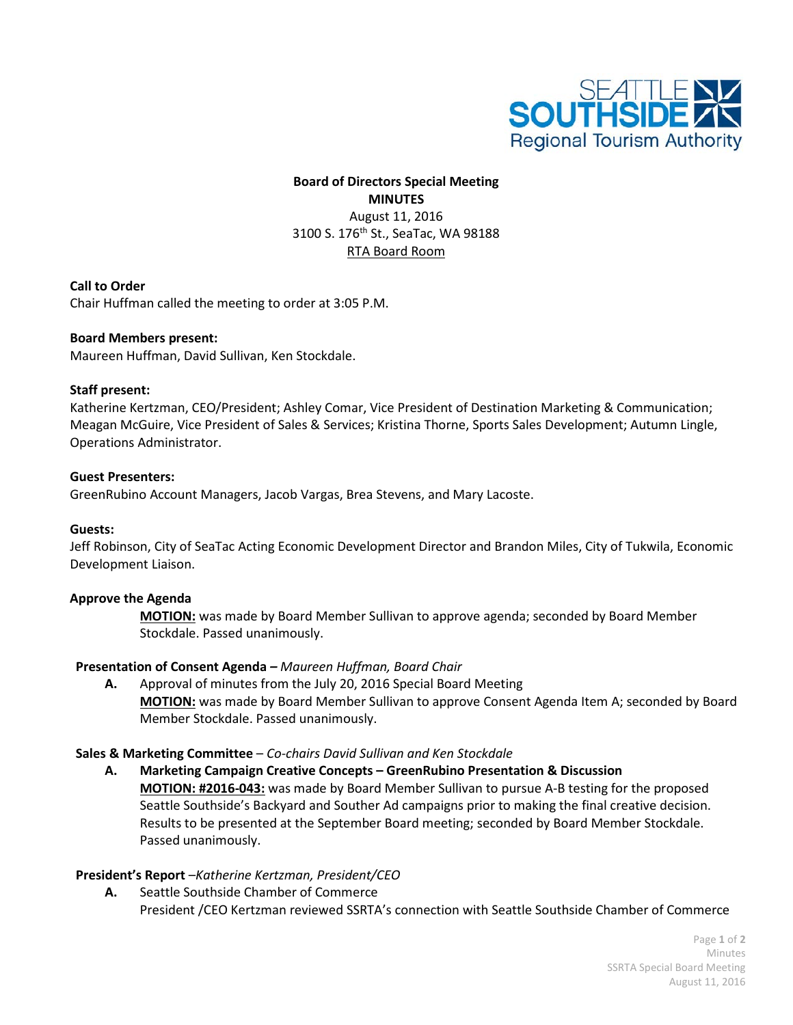

## **Board of Directors Special Meeting MINUTES** August 11, 2016 3100 S. 176th St., SeaTac, WA 98188 RTA Board Room

**Call to Order**

Chair Huffman called the meeting to order at 3:05 P.M.

#### **Board Members present:**

Maureen Huffman, David Sullivan, Ken Stockdale.

#### **Staff present:**

Katherine Kertzman, CEO/President; Ashley Comar, Vice President of Destination Marketing & Communication; Meagan McGuire, Vice President of Sales & Services; Kristina Thorne, Sports Sales Development; Autumn Lingle, Operations Administrator.

#### **Guest Presenters:**

GreenRubino Account Managers, Jacob Vargas, Brea Stevens, and Mary Lacoste.

#### **Guests:**

Jeff Robinson, City of SeaTac Acting Economic Development Director and Brandon Miles, City of Tukwila, Economic Development Liaison.

#### **Approve the Agenda**

**MOTION:** was made by Board Member Sullivan to approve agenda; seconded by Board Member Stockdale. Passed unanimously.

#### **Presentation of Consent Agenda** *– Maureen Huffman, Board Chair*

**A.** Approval of minutes from the July 20, 2016 Special Board Meeting **MOTION:** was made by Board Member Sullivan to approve Consent Agenda Item A; seconded by Board Member Stockdale. Passed unanimously.

#### **Sales & Marketing Committee** – *Co-chairs David Sullivan and Ken Stockdale*

**A. Marketing Campaign Creative Concepts – GreenRubino Presentation & Discussion MOTION: #2016-043:** was made by Board Member Sullivan to pursue A-B testing for the proposed Seattle Southside's Backyard and Souther Ad campaigns prior to making the final creative decision. Results to be presented at the September Board meeting; seconded by Board Member Stockdale. Passed unanimously.

#### **President's Report** –*Katherine Kertzman, President/CEO*

**A.** Seattle Southside Chamber of Commerce President /CEO Kertzman reviewed SSRTA's connection with Seattle Southside Chamber of Commerce

> Page **1** of **2** Minutes SSRTA Special Board Meeting August 11, 2016